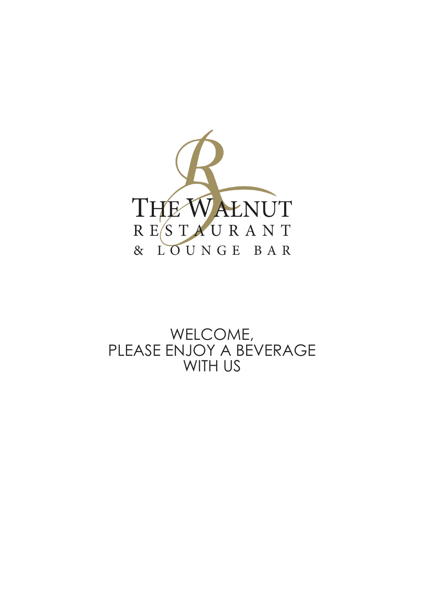

## WELCOME, PLEASE ENJOY A BEVERAGE WITH US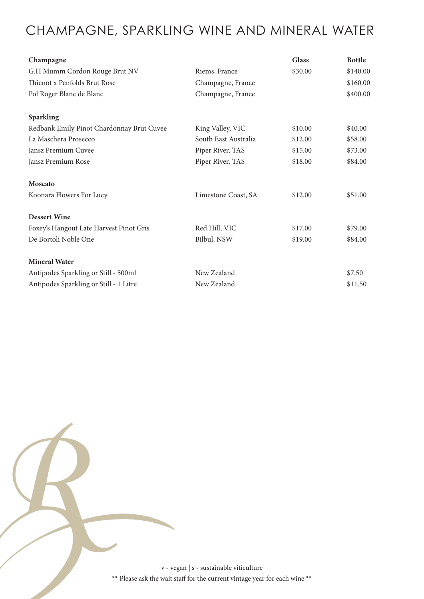# CHAMPAGNE, SPARKLING WINE AND MINERAL WATER

| Champagne                                 |                      | <b>Glass</b> | <b>Bottle</b> |
|-------------------------------------------|----------------------|--------------|---------------|
| G.H Mumm Cordon Rouge Brut NV             | Riems, France        | \$30.00      | \$140.00      |
| Thienot x Penfolds Brut Rose              | Champagne, France    |              | \$160.00      |
| Pol Roger Blanc de Blanc                  | Champagne, France    |              | \$400.00      |
| Sparkling                                 |                      |              |               |
| Redbank Emily Pinot Chardonnay Brut Cuvee | King Valley, VIC     | \$10.00      | \$40.00       |
| La Maschera Prosecco                      | South East Australia | \$12.00      | \$58.00       |
| Jansz Premium Cuvee                       | Piper River, TAS     | \$15.00      | \$73.00       |
| Jansz Premium Rose                        | Piper River, TAS     | \$18.00      | \$84.00       |
| Moscato                                   |                      |              |               |
| Koonara Flowers For Lucy                  | Limestone Coast, SA  | \$12.00      | \$51.00       |
| <b>Dessert Wine</b>                       |                      |              |               |
| Foxey's Hangout Late Harvest Pinot Gris   | Red Hill, VIC        | \$17.00      | \$79.00       |
| De Bortoli Noble One                      | Bilbul, NSW          | \$19.00      | \$84.00       |
| <b>Mineral Water</b>                      |                      |              |               |
| Antipodes Sparkling or Still - 500ml      | New Zealand          |              | \$7.50        |
| Antipodes Sparkling or Still - 1 Litre    | New Zealand          |              | \$11.50       |

v - vegan | s - sustainable viticulture  $^{\ast\ast}$  Please ask the wait staff for the current vintage year for each wine  $^{\ast\ast}$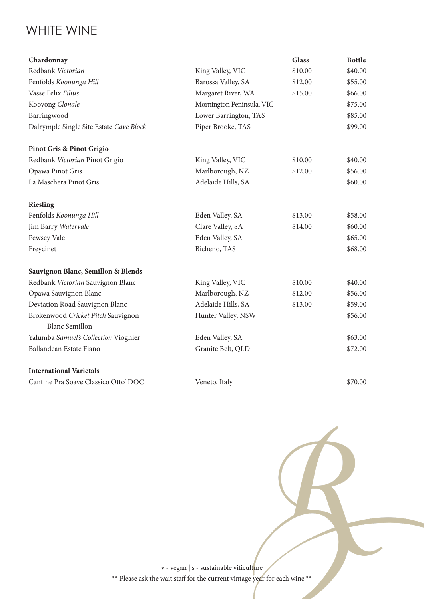## WHITE WINE

| Chardonnay                              |                           | <b>Glass</b> | <b>Bottle</b> |
|-----------------------------------------|---------------------------|--------------|---------------|
| Redbank Victorian                       | King Valley, VIC          | \$10.00      | \$40.00       |
| Penfolds Koonunga Hill                  | Barossa Valley, SA        | \$12.00      | \$55.00       |
| Vasse Felix Filius                      | Margaret River, WA        | \$15.00      | \$66.00       |
| Kooyong Clonale                         | Mornington Peninsula, VIC |              | \$75.00       |
| Barringwood                             | Lower Barrington, TAS     |              | \$85.00       |
| Dalrymple Single Site Estate Cave Block | Piper Brooke, TAS         |              | \$99.00       |
| <b>Pinot Gris &amp; Pinot Grigio</b>    |                           |              |               |
| Redbank Victorian Pinot Grigio          | King Valley, VIC          | \$10.00      | \$40.00       |
| Opawa Pinot Gris                        | Marlborough, NZ           | \$12.00      | \$56.00       |
| La Maschera Pinot Gris                  | Adelaide Hills, SA        |              | \$60.00       |
| <b>Riesling</b>                         |                           |              |               |
| Penfolds Koonunga Hill                  | Eden Valley, SA           | \$13.00      | \$58.00       |
| Jim Barry Watervale                     | Clare Valley, SA          | \$14.00      | \$60.00       |
| Pewsey Vale                             | Eden Valley, SA           |              | \$65.00       |
| Freycinet                               | Bicheno, TAS              |              | \$68.00       |
| Sauvignon Blanc, Semillon & Blends      |                           |              |               |
| Redbank Victorian Sauvignon Blanc       | King Valley, VIC          | \$10.00      | \$40.00       |
| Opawa Sauvignon Blanc                   | Marlborough, NZ           | \$12.00      | \$56.00       |
| Deviation Road Sauvignon Blanc          | Adelaide Hills, SA        | \$13.00      | \$59.00       |
| Brokenwood Cricket Pitch Sauvignon      | Hunter Valley, NSW        |              | \$56.00       |
| <b>Blanc Semillon</b>                   |                           |              |               |
| Yalumba Samuel's Collection Viognier    | Eden Valley, SA           |              | \$63.00       |
| Ballandean Estate Fiano                 | Granite Belt, QLD         |              | \$72.00       |
| <b>International Varietals</b>          |                           |              |               |
| Cantine Pra Soave Classico Otto' DOC    | Veneto, Italy             |              | \$70.00       |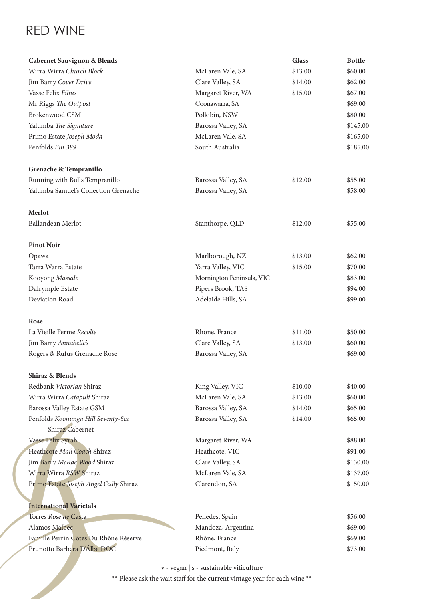## RED WINE

| <b>Cabernet Sauvignon &amp; Blends</b>                |                           | <b>Glass</b> | <b>Bottle</b> |
|-------------------------------------------------------|---------------------------|--------------|---------------|
| Wirra Wirra Church Block                              | McLaren Vale, SA          | \$13.00      | \$60.00       |
| Jim Barry Cover Drive                                 | Clare Valley, SA          | \$14.00      | \$62.00       |
| Vasse Felix Filius                                    | Margaret River, WA        | \$15.00      | \$67.00       |
| Mr Riggs The Outpost                                  | Coonawarra, SA            |              | \$69.00       |
| Brokenwood CSM                                        | Polkibin, NSW             |              | \$80.00       |
| Yalumba The Signature                                 | Barossa Valley, SA        |              | \$145.00      |
| Primo Estate Joseph Moda                              | McLaren Vale, SA          |              | \$165.00      |
| Penfolds Bin 389                                      | South Australia           |              | \$185.00      |
| Grenache & Tempranillo                                |                           |              |               |
| Running with Bulls Tempranillo                        | Barossa Valley, SA        | \$12.00      | \$55.00       |
| Yalumba Samuel's Collection Grenache                  | Barossa Valley, SA        |              | \$58.00       |
| Merlot                                                |                           |              |               |
| Ballandean Merlot                                     | Stanthorpe, QLD           | \$12.00      | \$55.00       |
| <b>Pinot Noir</b>                                     |                           |              |               |
| Opawa                                                 | Marlborough, NZ           | \$13.00      | \$62.00       |
| Tarra Warra Estate                                    | Yarra Valley, VIC         | \$15.00      | \$70.00       |
| Kooyong Massale                                       | Mornington Peninsula, VIC |              | \$83.00       |
| Dalrymple Estate                                      | Pipers Brook, TAS         |              | \$94.00       |
| Deviation Road                                        | Adelaide Hills, SA        |              | \$99.00       |
| Rose                                                  |                           |              |               |
| La Vieille Ferme Recolte                              | Rhone, France             | \$11.00      | \$50.00       |
| Jim Barry Annabelle's                                 | Clare Valley, SA          | \$13.00      | \$60.00       |
| Rogers & Rufus Grenache Rose                          | Barossa Valley, SA        |              | \$69.00       |
| Shiraz & Blends                                       |                           |              |               |
| Redbank Victorian Shiraz                              | King Valley, VIC          | \$10.00      | \$40.00       |
| Wirra Wirra Catapult Shiraz                           | McLaren Vale, SA          | \$13.00      | \$60.00       |
| Barossa Valley Estate GSM                             | Barossa Valley, SA        | \$14.00      | \$65.00       |
| Penfolds Koonunga Hill Seventy-Six<br>Shiraz Cabernet | Barossa Valley, SA        | \$14.00      | \$65.00       |
| Vasse Felix Syrah                                     | Margaret River, WA        |              | \$88.00       |
| Heathcote Mail Coach Shiraz                           | Heathcote, VIC            |              | \$91.00       |
| Jim Barry McRae Wood Shiraz                           | Clare Valley, SA          |              | \$130.00      |
| Wirra Wirra RSW Shiraz                                | McLaren Vale, SA          |              | \$137.00      |
| Primo Estate Joseph Angel Gully Shiraz                | Clarendon, SA             |              | \$150.00      |
|                                                       |                           |              |               |
| <b>International Varietals</b>                        |                           |              |               |
| Torres Rose de Casta                                  | Penedes, Spain            |              | \$56.00       |
| Alamos Malbec                                         | Mandoza, Argentina        |              | \$69.00       |
| Famille Perrin Côtes Du Rhône Réserve                 | Rhône, France             |              | \$69.00       |
| Prunotto Barbera D'Álba DOC                           | Piedmont, Italy           |              | \$73.00       |

v - vegan | s - sustainable viticulture

 $^{\ast\ast}$  Please ask the wait staff for the current vintage year for each wine  $^{\ast\ast}$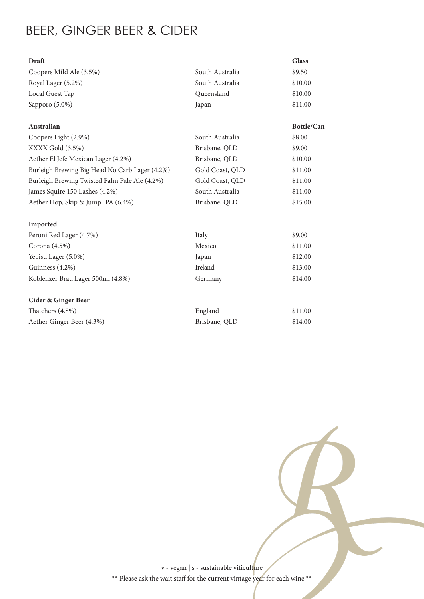# BEER, GINGER BEER & CIDER

| Draft                                          |                 | <b>Glass</b> |
|------------------------------------------------|-----------------|--------------|
| Coopers Mild Ale (3.5%)                        | South Australia | \$9.50       |
| Royal Lager (5.2%)                             | South Australia | \$10.00      |
| Local Guest Tap                                | Queensland      | \$10.00      |
| Sapporo (5.0%)                                 | Japan           | \$11.00      |
| Australian                                     |                 | Bottle/Can   |
| Coopers Light (2.9%)                           | South Australia | \$8.00       |
| XXXX Gold (3.5%)                               | Brisbane, QLD   | \$9.00       |
| Aether El Jefe Mexican Lager (4.2%)            | Brisbane, QLD   | \$10.00      |
| Burleigh Brewing Big Head No Carb Lager (4.2%) | Gold Coast, QLD | \$11.00      |
| Burleigh Brewing Twisted Palm Pale Ale (4.2%)  | Gold Coast, QLD | \$11.00      |
| James Squire 150 Lashes (4.2%)                 | South Australia | \$11.00      |
| Aether Hop, Skip & Jump IPA (6.4%)             | Brisbane, QLD   | \$15.00      |
| Imported                                       |                 |              |
| Peroni Red Lager (4.7%)                        | Italy           | \$9.00       |
| Corona (4.5%)                                  | Mexico          | \$11.00      |
| Yebisu Lager (5.0%)                            | Japan           | \$12.00      |
| Guinness (4.2%)                                | Ireland         | \$13.00      |
| Koblenzer Brau Lager 500ml (4.8%)              | Germany         | \$14.00      |
| <b>Cider &amp; Ginger Beer</b>                 |                 |              |
| Thatchers (4.8%)                               | England         | \$11.00      |
| Aether Ginger Beer (4.3%)                      | Brisbane, QLD   | \$14.00      |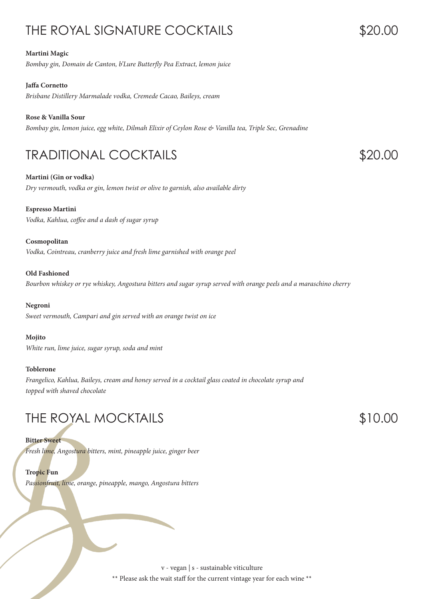# THE ROYAL SIGNATURE COCKTAILS

#### **Martini Magic**

*Bombay gin, Domain de Canton, b'Lure Butterfly Pea Extract, lemon juice*

#### **Jaffa Cornetto**

*Brisbane Distillery Marmalade vodka, Cremede Cacao, Baileys, cream*

#### **Rose & Vanilla Sour**

*Bombay gin, lemon juice, egg white, Dilmah Elixir of Ceylon Rose & Vanilla tea, Triple Sec, Grenadine*

## TRADITIONAL COCKTAILS

**Martini (Gin or vodka)** *Dry vermouth, vodka or gin, lemon twist or olive to garnish, also available dirty*

#### **Espresso Martini**

*Vodka, Kahlua, coffee and a dash of sugar syrup*

#### **Cosmopolitan**

*Vodka, Cointreau, cranberry juice and fresh lime garnished with orange peel*

#### **Old Fashioned**

*Bourbon whiskey or rye whiskey, Angostura bitters and sugar syrup served with orange peels and a maraschino cherry*

#### **Negroni**

*Sweet vermouth, Campari and gin served with an orange twist on ice*

#### **Mojito**

*White run, lime juice, sugar syrup, soda and mint*

#### **Toblerone**

*Frangelico, Kahlua, Baileys, cream and honey served in a cocktail glass coated in chocolate syrup and topped with shaved chocolate*

### THE ROYAL MOCKTAILS

#### **Bitter Sweet**

*Fresh lime, Angostura bitters, mint, pineapple juice, ginger beer*

#### **Tropic Fun**

*Passionfruit, lime, orange, pineapple, mango, Angostura bitters*

v - vegan | s - sustainable viticulture \*\* Please ask the wait staff for the current vintage year for each wine \*\*

### \$10.00

### \$20.00

\$20.00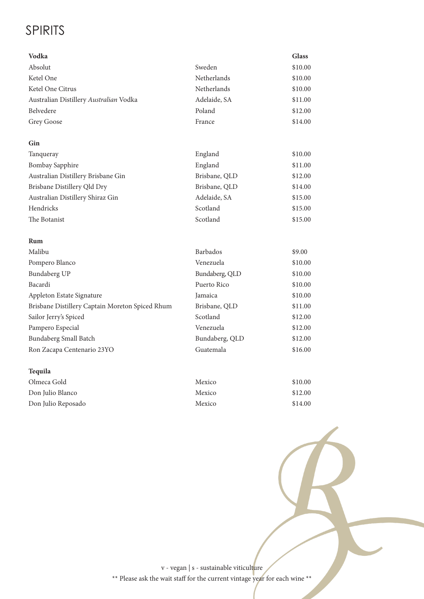## SPIRITS

| Vodka                                           |                | <b>Glass</b> |
|-------------------------------------------------|----------------|--------------|
| Absolut                                         | Sweden         | \$10.00      |
| Ketel One                                       | Netherlands    | \$10.00      |
| Ketel One Citrus                                | Netherlands    | \$10.00      |
| Australian Distillery Australian Vodka          | Adelaide, SA   | \$11.00      |
| Belvedere                                       | Poland         | \$12.00      |
| Grey Goose                                      | France         | \$14.00      |
| Gin                                             |                |              |
| Tanqueray                                       | England        | \$10.00      |
| <b>Bombay Sapphire</b>                          | England        | \$11.00      |
| Australian Distillery Brisbane Gin              | Brisbane, QLD  | \$12.00      |
| Brisbane Distillery Qld Dry                     | Brisbane, QLD  | \$14.00      |
| Australian Distillery Shiraz Gin                | Adelaide, SA   | \$15.00      |
| Hendricks                                       | Scotland       | \$15.00      |
| The Botanist                                    | Scotland       | \$15.00      |
| Rum                                             |                |              |
| Malibu                                          | Barbados       | \$9.00       |
| Pompero Blanco                                  | Venezuela      | \$10.00      |
| Bundaberg UP                                    | Bundaberg, QLD | \$10.00      |
| Bacardi                                         | Puerto Rico    | \$10.00      |
| Appleton Estate Signature                       | Jamaica        | \$10.00      |
| Brisbane Distillery Captain Moreton Spiced Rhum | Brisbane, QLD  | \$11.00      |
| Sailor Jerry's Spiced                           | Scotland       | \$12.00      |
| Pampero Especial                                | Venezuela      | \$12.00      |
| <b>Bundaberg Small Batch</b>                    | Bundaberg, QLD | \$12.00      |
| Ron Zacapa Centenario 23YO                      | Guatemala      | \$16.00      |
| Tequila                                         |                |              |
| Olmeca Gold                                     | Mexico         | \$10.00      |
| Don Julio Blanco                                | Mexico         | \$12.00      |
| Don Julio Reposado                              | Mexico         | \$14.00      |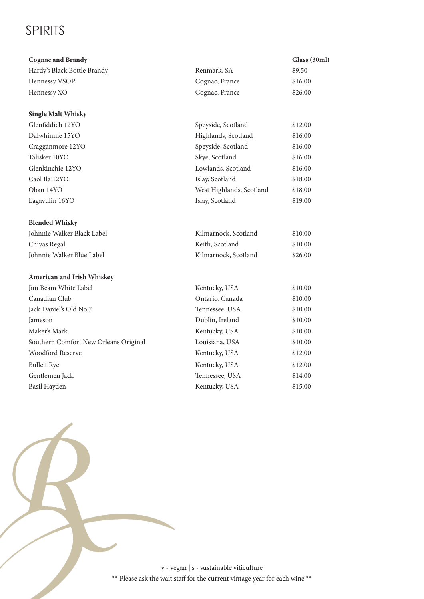# SPIRITS

| <b>Cognac and Brandy</b>              |                          | Glass (30ml) |
|---------------------------------------|--------------------------|--------------|
| Hardy's Black Bottle Brandy           | Renmark, SA              | \$9.50       |
| Hennessy VSOP                         | Cognac, France           | \$16.00      |
| Hennessy XO                           | Cognac, France           | \$26.00      |
|                                       |                          |              |
| <b>Single Malt Whisky</b>             |                          |              |
| Glenfiddich 12YO                      | Speyside, Scotland       | \$12.00      |
| Dalwhinnie 15YO                       | Highlands, Scotland      | \$16.00      |
| Cragganmore 12YO                      | Speyside, Scotland       | \$16.00      |
| Talisker 10YO                         | Skye, Scotland           | \$16.00      |
| Glenkinchie 12YO                      | Lowlands, Scotland       | \$16.00      |
| Caol Ila 12YO                         | Islay, Scotland          | \$18.00      |
| Oban 14YO                             | West Highlands, Scotland | \$18.00      |
| Lagavulin 16YO                        | Islay, Scotland          | \$19.00      |
|                                       |                          |              |
| <b>Blended Whisky</b>                 |                          |              |
| Johnnie Walker Black Label            | Kilmarnock, Scotland     | \$10.00      |
| Chivas Regal                          | Keith, Scotland          | \$10.00      |
| Johnnie Walker Blue Label             | Kilmarnock, Scotland     | \$26.00      |
| American and Irish Whiskey            |                          |              |
| Jim Beam White Label                  | Kentucky, USA            | \$10.00      |
| Canadian Club                         | Ontario, Canada          | \$10.00      |
| Jack Daniel's Old No.7                | Tennessee, USA           | \$10.00      |
| Jameson                               | Dublin, Ireland          | \$10.00      |
| Maker's Mark                          | Kentucky, USA            | \$10.00      |
| Southern Comfort New Orleans Original | Louisiana, USA           | \$10.00      |
| <b>Woodford Reserve</b>               | Kentucky, USA            | \$12.00      |
| <b>Bulleit Rye</b>                    | Kentucky, USA            | \$12.00      |
| Gentlemen Jack                        | Tennessee, USA           | \$14.00      |
| Basil Hayden                          | Kentucky, USA            | \$15.00      |
|                                       |                          |              |

v - vegan | s - sustainable viticulture  $^{\ast\ast}$  Please ask the wait staff for the current vintage year for each wine  $^{\ast\ast}$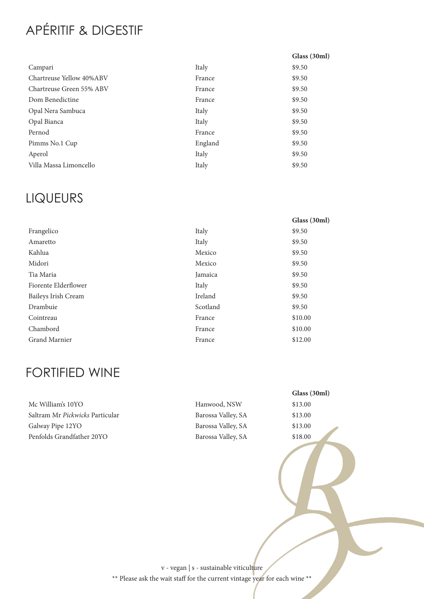# APÉRITIF & DIGESTIF

|                          |         | Glass (30ml) |
|--------------------------|---------|--------------|
| Campari                  | Italy   | \$9.50       |
| Chartreuse Yellow 40%ABV | France  | \$9.50       |
| Chartreuse Green 55% ABV | France  | \$9.50       |
| Dom Benedictine          | France  | \$9.50       |
| Opal Nera Sambuca        | Italy   | \$9.50       |
| Opal Bianca              | Italy   | \$9.50       |
| Pernod                   | France  | \$9.50       |
| Pimms No.1 Cup           | England | \$9.50       |
| Aperol                   | Italy   | \$9.50       |
| Villa Massa Limoncello   | Italy   | \$9.50       |

### LIQUEURS

|                      |          | Glass (30ml) |
|----------------------|----------|--------------|
| Frangelico           | Italy    | \$9.50       |
| Amaretto             | Italy    | \$9.50       |
| Kahlua               | Mexico   | \$9.50       |
| Midori               | Mexico   | \$9.50       |
| Tia Maria            | Jamaica  | \$9.50       |
| Fiorente Elderflower | Italy    | \$9.50       |
| Baileys Irish Cream  | Ireland  | \$9.50       |
| Drambuie             | Scotland | \$9.50       |
| Cointreau            | France   | \$10.00      |
| Chambord             | France   | \$10.00      |
| Grand Marnier        | France   | \$12.00      |

## FORTIFIED WINE

Mc William's 10YO **Hanwood, NSW** \$13.00 Saltram Mr Pickwicks Particular Barossa Valley, SA \$13.00 Galway Pipe 12YO Barossa Valley, SA \$13.00 Penfolds Grandfather 20YO Barossa Valley, SA \$18.00

**Glass (30ml)**